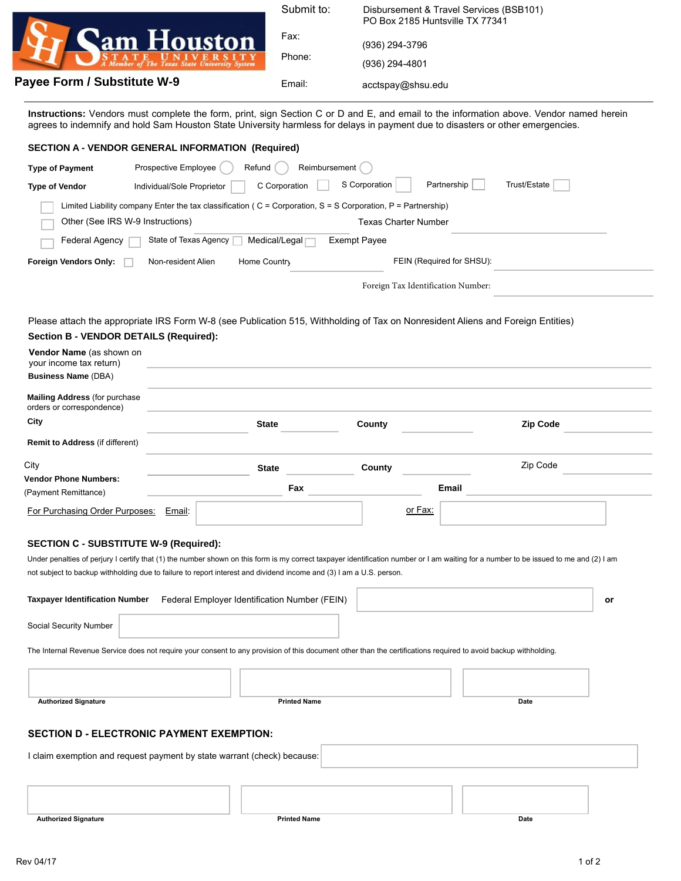| <b>Cam Houston</b>                                           |
|--------------------------------------------------------------|
| ATE UNIVERSITY<br>ember of The Texas State University System |

**Payee Form / Substitute W-9** 

| Submit to: | Disbursement & Travel Services (BSB101)<br>PO Box 2185 Huntsville TX 77341 |
|------------|----------------------------------------------------------------------------|
| Fax:       | (936) 294-3796                                                             |
| Phone:     | (936) 294-4801                                                             |
| Email:     | acctspay@shsu.edu                                                          |

**Instructions:** Vendors must complete the form, print, sign Section C or D and E, and email to the information above. Vendor named herein agrees to indemnify and hold Sam Houston State University harmless for delays in payment due to disasters or other emergencies.

| <b>SECTION A - VENDOR GENERAL INFORMATION (Required)</b>                                                                                                                                                                                                                                                                                                                                                                                                      |                                                                                             |                     |                     |                                    |                 |  |
|---------------------------------------------------------------------------------------------------------------------------------------------------------------------------------------------------------------------------------------------------------------------------------------------------------------------------------------------------------------------------------------------------------------------------------------------------------------|---------------------------------------------------------------------------------------------|---------------------|---------------------|------------------------------------|-----------------|--|
| Reimbursement<br>Prospective Employee<br>Refund<br><b>Type of Payment</b>                                                                                                                                                                                                                                                                                                                                                                                     |                                                                                             |                     |                     |                                    |                 |  |
| <b>Type of Vendor</b>                                                                                                                                                                                                                                                                                                                                                                                                                                         | S Corporation<br>Partnership<br>Trust/Estate<br>C Corporation<br>Individual/Sole Proprietor |                     |                     |                                    |                 |  |
| Limited Liability company Enter the tax classification ( $C =$ Corporation, $S = S$ Corporation, $P =$ Partnership)<br>Other (See IRS W-9 Instructions)<br><b>Texas Charter Number</b>                                                                                                                                                                                                                                                                        |                                                                                             |                     |                     |                                    |                 |  |
| Federal Agency                                                                                                                                                                                                                                                                                                                                                                                                                                                | State of Texas Agency                                                                       | Medical/Legal ∏     | <b>Exempt Payee</b> |                                    |                 |  |
| Foreign Vendors Only:                                                                                                                                                                                                                                                                                                                                                                                                                                         | Non-resident Alien                                                                          | Home Country        |                     | FEIN (Required for SHSU):          |                 |  |
|                                                                                                                                                                                                                                                                                                                                                                                                                                                               |                                                                                             |                     |                     | Foreign Tax Identification Number: |                 |  |
| Please attach the appropriate IRS Form W-8 (see Publication 515, Withholding of Tax on Nonresident Aliens and Foreign Entities)<br><b>Section B - VENDOR DETAILS (Required):</b><br>Vendor Name (as shown on<br>your income tax return)<br><b>Business Name (DBA)</b>                                                                                                                                                                                         |                                                                                             |                     |                     |                                    |                 |  |
| <b>Mailing Address (for purchase</b>                                                                                                                                                                                                                                                                                                                                                                                                                          |                                                                                             |                     |                     |                                    |                 |  |
| orders or correspondence)<br>City                                                                                                                                                                                                                                                                                                                                                                                                                             |                                                                                             | <b>State</b>        | County              |                                    | <b>Zip Code</b> |  |
| <b>Remit to Address (if different)</b>                                                                                                                                                                                                                                                                                                                                                                                                                        |                                                                                             |                     |                     |                                    |                 |  |
| City                                                                                                                                                                                                                                                                                                                                                                                                                                                          |                                                                                             | <b>State</b>        | County              |                                    | Zip Code        |  |
| <b>Vendor Phone Numbers:</b><br>(Payment Remittance)                                                                                                                                                                                                                                                                                                                                                                                                          |                                                                                             | Fax                 |                     | Email                              |                 |  |
| For Purchasing Order Purposes:                                                                                                                                                                                                                                                                                                                                                                                                                                | Email:                                                                                      |                     |                     | or Fax:                            |                 |  |
| <b>SECTION C - SUBSTITUTE W-9 (Required):</b><br>Under penalties of perjury I certify that (1) the number shown on this form is my correct taxpayer identification number or I am waiting for a number to be issued to me and (2) I am<br>not subject to backup withholding due to failure to report interest and dividend income and (3) I am a U.S. person.<br><b>Taxpayer Identification Number</b><br>Federal Employer Identification Number (FEIN)<br>or |                                                                                             |                     |                     |                                    |                 |  |
| Social Security Number                                                                                                                                                                                                                                                                                                                                                                                                                                        |                                                                                             |                     |                     |                                    |                 |  |
| The Internal Revenue Service does not require your consent to any provision of this document other than the certifications required to avoid backup withholding.                                                                                                                                                                                                                                                                                              |                                                                                             |                     |                     |                                    |                 |  |
|                                                                                                                                                                                                                                                                                                                                                                                                                                                               |                                                                                             | <b>Printed Name</b> |                     |                                    | Date            |  |
| <b>Authorized Signature</b>                                                                                                                                                                                                                                                                                                                                                                                                                                   |                                                                                             |                     |                     |                                    |                 |  |
| <b>SECTION D - ELECTRONIC PAYMENT EXEMPTION:</b>                                                                                                                                                                                                                                                                                                                                                                                                              |                                                                                             |                     |                     |                                    |                 |  |
| I claim exemption and request payment by state warrant (check) because:                                                                                                                                                                                                                                                                                                                                                                                       |                                                                                             |                     |                     |                                    |                 |  |
|                                                                                                                                                                                                                                                                                                                                                                                                                                                               |                                                                                             |                     |                     |                                    |                 |  |

**Authorized Signature Date** Date **Date Printed Name Printed Name Printed Name Date**